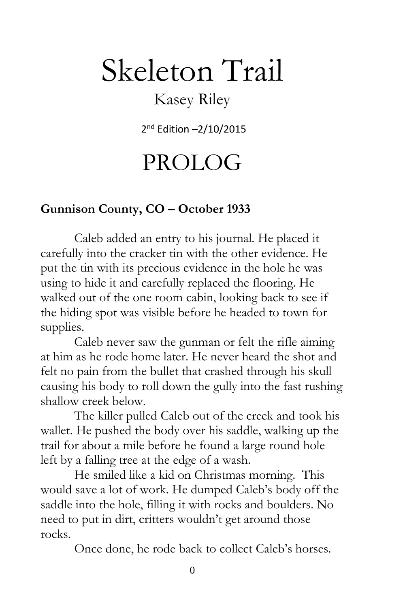# Skeleton Trail

### Kasey Riley

2 nd Edition –2/10/2015

## PROLOG

#### **Gunnison County, CO – October 1933**

Caleb added an entry to his journal. He placed it carefully into the cracker tin with the other evidence. He put the tin with its precious evidence in the hole he was using to hide it and carefully replaced the flooring. He walked out of the one room cabin, looking back to see if the hiding spot was visible before he headed to town for supplies.

Caleb never saw the gunman or felt the rifle aiming at him as he rode home later. He never heard the shot and felt no pain from the bullet that crashed through his skull causing his body to roll down the gully into the fast rushing shallow creek below.

The killer pulled Caleb out of the creek and took his wallet. He pushed the body over his saddle, walking up the trail for about a mile before he found a large round hole left by a falling tree at the edge of a wash.

He smiled like a kid on Christmas morning. This would save a lot of work. He dumped Caleb's body off the saddle into the hole, filling it with rocks and boulders. No need to put in dirt, critters wouldn't get around those rocks.

Once done, he rode back to collect Caleb's horses.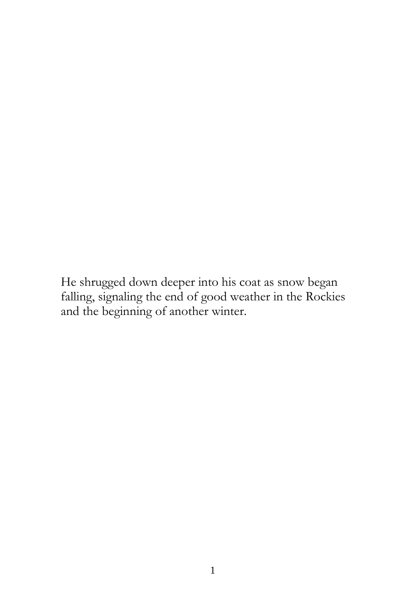He shrugged down deeper into his coat as snow began falling, signaling the end of good weather in the Rockies and the beginning of another winter.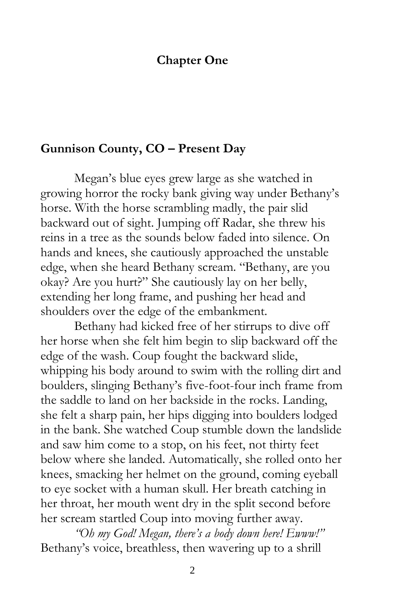#### **Chapter One**

#### **Gunnison County, CO – Present Day**

Megan's blue eyes grew large as she watched in growing horror the rocky bank giving way under Bethany's horse. With the horse scrambling madly, the pair slid backward out of sight. Jumping off Radar, she threw his reins in a tree as the sounds below faded into silence. On hands and knees, she cautiously approached the unstable edge, when she heard Bethany scream. "Bethany, are you okay? Are you hurt?" She cautiously lay on her belly, extending her long frame, and pushing her head and shoulders over the edge of the embankment.

Bethany had kicked free of her stirrups to dive off her horse when she felt him begin to slip backward off the edge of the wash. Coup fought the backward slide, whipping his body around to swim with the rolling dirt and boulders, slinging Bethany's five-foot-four inch frame from the saddle to land on her backside in the rocks. Landing, she felt a sharp pain, her hips digging into boulders lodged in the bank. She watched Coup stumble down the landslide and saw him come to a stop, on his feet, not thirty feet below where she landed. Automatically, she rolled onto her knees, smacking her helmet on the ground, coming eyeball to eye socket with a human skull. Her breath catching in her throat, her mouth went dry in the split second before her scream startled Coup into moving further away.

*"Oh my God! Megan, there's a body down here! Ewww!"* Bethany's voice, breathless, then wavering up to a shrill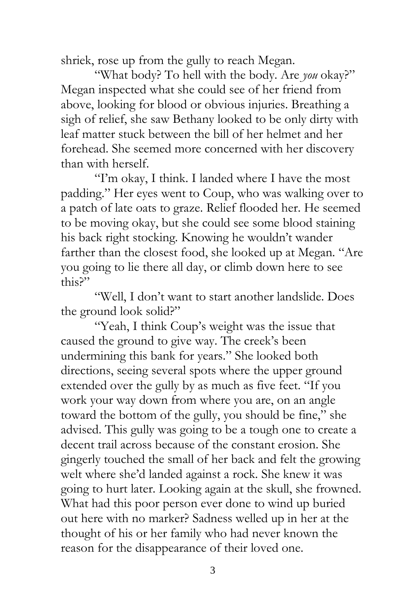shriek, rose up from the gully to reach Megan.

"What body? To hell with the body. Are *you* okay?" Megan inspected what she could see of her friend from above, looking for blood or obvious injuries. Breathing a sigh of relief, she saw Bethany looked to be only dirty with leaf matter stuck between the bill of her helmet and her forehead. She seemed more concerned with her discovery than with herself.

"I'm okay, I think. I landed where I have the most padding." Her eyes went to Coup, who was walking over to a patch of late oats to graze. Relief flooded her. He seemed to be moving okay, but she could see some blood staining his back right stocking. Knowing he wouldn't wander farther than the closest food, she looked up at Megan. "Are you going to lie there all day, or climb down here to see this?"

"Well, I don't want to start another landslide. Does the ground look solid?"

"Yeah, I think Coup's weight was the issue that caused the ground to give way. The creek's been undermining this bank for years." She looked both directions, seeing several spots where the upper ground extended over the gully by as much as five feet. "If you work your way down from where you are, on an angle toward the bottom of the gully, you should be fine," she advised. This gully was going to be a tough one to create a decent trail across because of the constant erosion. She gingerly touched the small of her back and felt the growing welt where she'd landed against a rock. She knew it was going to hurt later. Looking again at the skull, she frowned. What had this poor person ever done to wind up buried out here with no marker? Sadness welled up in her at the thought of his or her family who had never known the reason for the disappearance of their loved one.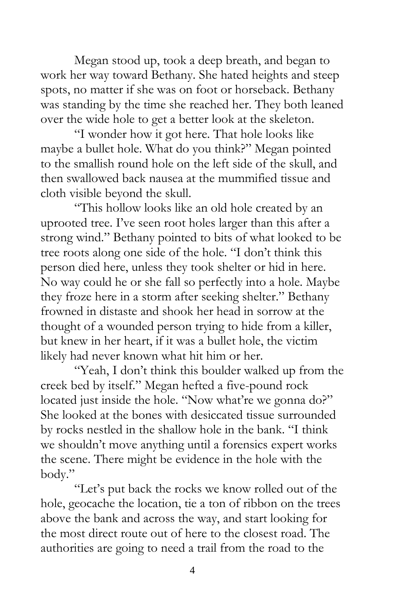Megan stood up, took a deep breath, and began to work her way toward Bethany. She hated heights and steep spots, no matter if she was on foot or horseback. Bethany was standing by the time she reached her. They both leaned over the wide hole to get a better look at the skeleton.

"I wonder how it got here. That hole looks like maybe a bullet hole. What do you think?" Megan pointed to the smallish round hole on the left side of the skull, and then swallowed back nausea at the mummified tissue and cloth visible beyond the skull.

"This hollow looks like an old hole created by an uprooted tree. I've seen root holes larger than this after a strong wind." Bethany pointed to bits of what looked to be tree roots along one side of the hole. "I don't think this person died here, unless they took shelter or hid in here. No way could he or she fall so perfectly into a hole. Maybe they froze here in a storm after seeking shelter." Bethany frowned in distaste and shook her head in sorrow at the thought of a wounded person trying to hide from a killer, but knew in her heart, if it was a bullet hole, the victim likely had never known what hit him or her.

"Yeah, I don't think this boulder walked up from the creek bed by itself." Megan hefted a five-pound rock located just inside the hole. "Now what're we gonna do?" She looked at the bones with desiccated tissue surrounded by rocks nestled in the shallow hole in the bank. "I think we shouldn't move anything until a forensics expert works the scene. There might be evidence in the hole with the body."

"Let's put back the rocks we know rolled out of the hole, geocache the location, tie a ton of ribbon on the trees above the bank and across the way, and start looking for the most direct route out of here to the closest road. The authorities are going to need a trail from the road to the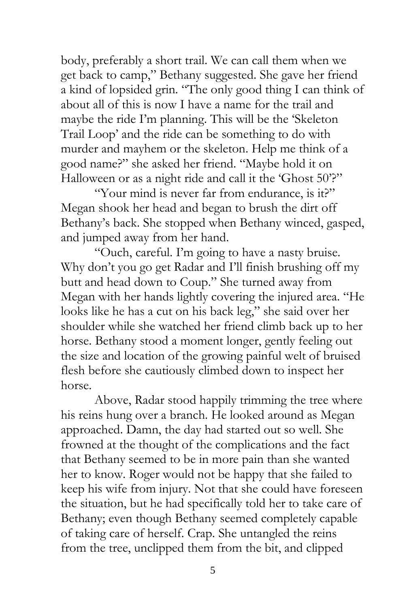body, preferably a short trail. We can call them when we get back to camp," Bethany suggested. She gave her friend a kind of lopsided grin. "The only good thing I can think of about all of this is now I have a name for the trail and maybe the ride I'm planning. This will be the 'Skeleton Trail Loop' and the ride can be something to do with murder and mayhem or the skeleton. Help me think of a good name?" she asked her friend. "Maybe hold it on Halloween or as a night ride and call it the 'Ghost 50'?"

"Your mind is never far from endurance, is it?" Megan shook her head and began to brush the dirt off Bethany's back. She stopped when Bethany winced, gasped, and jumped away from her hand.

"Ouch, careful. I'm going to have a nasty bruise. Why don't you go get Radar and I'll finish brushing off my butt and head down to Coup." She turned away from Megan with her hands lightly covering the injured area. "He looks like he has a cut on his back leg," she said over her shoulder while she watched her friend climb back up to her horse. Bethany stood a moment longer, gently feeling out the size and location of the growing painful welt of bruised flesh before she cautiously climbed down to inspect her horse.

Above, Radar stood happily trimming the tree where his reins hung over a branch. He looked around as Megan approached. Damn, the day had started out so well. She frowned at the thought of the complications and the fact that Bethany seemed to be in more pain than she wanted her to know. Roger would not be happy that she failed to keep his wife from injury. Not that she could have foreseen the situation, but he had specifically told her to take care of Bethany; even though Bethany seemed completely capable of taking care of herself. Crap. She untangled the reins from the tree, unclipped them from the bit, and clipped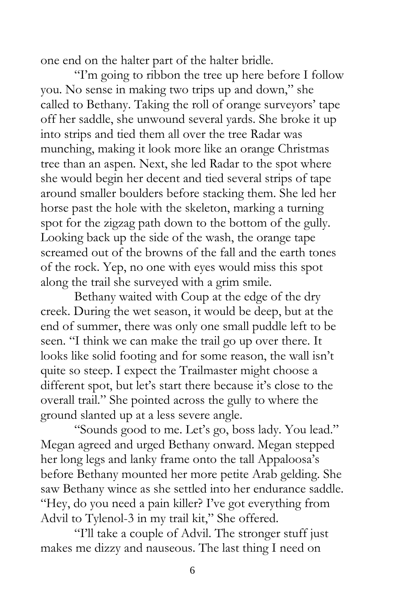one end on the halter part of the halter bridle.

"I'm going to ribbon the tree up here before I follow you. No sense in making two trips up and down," she called to Bethany. Taking the roll of orange surveyors' tape off her saddle, she unwound several yards. She broke it up into strips and tied them all over the tree Radar was munching, making it look more like an orange Christmas tree than an aspen. Next, she led Radar to the spot where she would begin her decent and tied several strips of tape around smaller boulders before stacking them. She led her horse past the hole with the skeleton, marking a turning spot for the zigzag path down to the bottom of the gully. Looking back up the side of the wash, the orange tape screamed out of the browns of the fall and the earth tones of the rock. Yep, no one with eyes would miss this spot along the trail she surveyed with a grim smile.

Bethany waited with Coup at the edge of the dry creek. During the wet season, it would be deep, but at the end of summer, there was only one small puddle left to be seen. "I think we can make the trail go up over there. It looks like solid footing and for some reason, the wall isn't quite so steep. I expect the Trailmaster might choose a different spot, but let's start there because it's close to the overall trail." She pointed across the gully to where the ground slanted up at a less severe angle.

"Sounds good to me. Let's go, boss lady. You lead." Megan agreed and urged Bethany onward. Megan stepped her long legs and lanky frame onto the tall Appaloosa's before Bethany mounted her more petite Arab gelding. She saw Bethany wince as she settled into her endurance saddle. "Hey, do you need a pain killer? I've got everything from Advil to Tylenol-3 in my trail kit," She offered.

"I'll take a couple of Advil. The stronger stuff just makes me dizzy and nauseous. The last thing I need on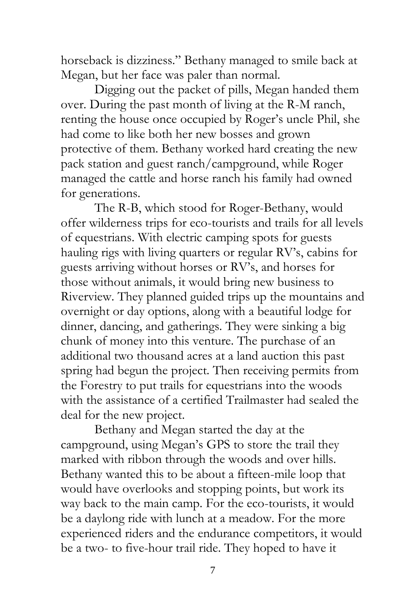horseback is dizziness." Bethany managed to smile back at Megan, but her face was paler than normal.

Digging out the packet of pills, Megan handed them over. During the past month of living at the R-M ranch, renting the house once occupied by Roger's uncle Phil, she had come to like both her new bosses and grown protective of them. Bethany worked hard creating the new pack station and guest ranch/campground, while Roger managed the cattle and horse ranch his family had owned for generations.

The R-B, which stood for Roger-Bethany, would offer wilderness trips for eco-tourists and trails for all levels of equestrians. With electric camping spots for guests hauling rigs with living quarters or regular RV's, cabins for guests arriving without horses or RV's, and horses for those without animals, it would bring new business to Riverview. They planned guided trips up the mountains and overnight or day options, along with a beautiful lodge for dinner, dancing, and gatherings. They were sinking a big chunk of money into this venture. The purchase of an additional two thousand acres at a land auction this past spring had begun the project. Then receiving permits from the Forestry to put trails for equestrians into the woods with the assistance of a certified Trailmaster had sealed the deal for the new project.

Bethany and Megan started the day at the campground, using Megan's GPS to store the trail they marked with ribbon through the woods and over hills. Bethany wanted this to be about a fifteen-mile loop that would have overlooks and stopping points, but work its way back to the main camp. For the eco-tourists, it would be a daylong ride with lunch at a meadow. For the more experienced riders and the endurance competitors, it would be a two- to five-hour trail ride. They hoped to have it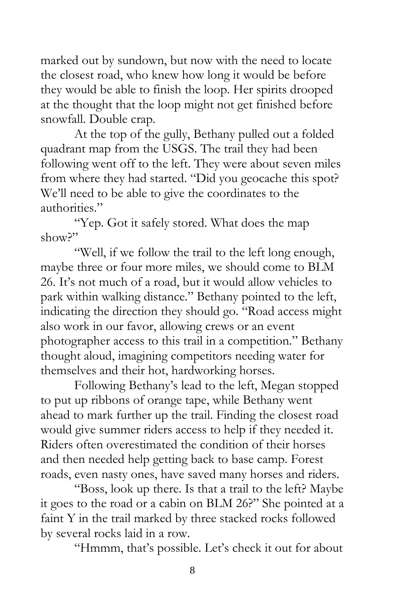marked out by sundown, but now with the need to locate the closest road, who knew how long it would be before they would be able to finish the loop. Her spirits drooped at the thought that the loop might not get finished before snowfall. Double crap.

At the top of the gully, Bethany pulled out a folded quadrant map from the USGS. The trail they had been following went off to the left. They were about seven miles from where they had started. "Did you geocache this spot? We'll need to be able to give the coordinates to the authorities."

"Yep. Got it safely stored. What does the map show?"

"Well, if we follow the trail to the left long enough, maybe three or four more miles, we should come to BLM 26. It's not much of a road, but it would allow vehicles to park within walking distance." Bethany pointed to the left, indicating the direction they should go. "Road access might also work in our favor, allowing crews or an event photographer access to this trail in a competition." Bethany thought aloud, imagining competitors needing water for themselves and their hot, hardworking horses.

Following Bethany's lead to the left, Megan stopped to put up ribbons of orange tape, while Bethany went ahead to mark further up the trail. Finding the closest road would give summer riders access to help if they needed it. Riders often overestimated the condition of their horses and then needed help getting back to base camp. Forest roads, even nasty ones, have saved many horses and riders.

"Boss, look up there. Is that a trail to the left? Maybe it goes to the road or a cabin on BLM 26?" She pointed at a faint Y in the trail marked by three stacked rocks followed by several rocks laid in a row.

"Hmmm, that's possible. Let's check it out for about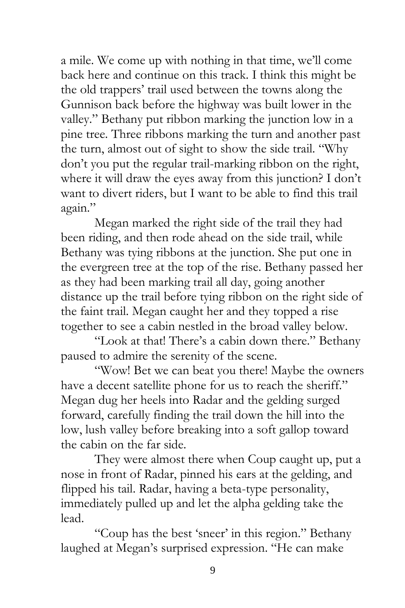a mile. We come up with nothing in that time, we'll come back here and continue on this track. I think this might be the old trappers' trail used between the towns along the Gunnison back before the highway was built lower in the valley." Bethany put ribbon marking the junction low in a pine tree. Three ribbons marking the turn and another past the turn, almost out of sight to show the side trail. "Why don't you put the regular trail-marking ribbon on the right, where it will draw the eyes away from this junction? I don't want to divert riders, but I want to be able to find this trail again."

Megan marked the right side of the trail they had been riding, and then rode ahead on the side trail, while Bethany was tying ribbons at the junction. She put one in the evergreen tree at the top of the rise. Bethany passed her as they had been marking trail all day, going another distance up the trail before tying ribbon on the right side of the faint trail. Megan caught her and they topped a rise together to see a cabin nestled in the broad valley below.

"Look at that! There's a cabin down there." Bethany paused to admire the serenity of the scene.

"Wow! Bet we can beat you there! Maybe the owners have a decent satellite phone for us to reach the sheriff." Megan dug her heels into Radar and the gelding surged forward, carefully finding the trail down the hill into the low, lush valley before breaking into a soft gallop toward the cabin on the far side.

They were almost there when Coup caught up, put a nose in front of Radar, pinned his ears at the gelding, and flipped his tail. Radar, having a beta-type personality, immediately pulled up and let the alpha gelding take the lead.

"Coup has the best 'sneer' in this region." Bethany laughed at Megan's surprised expression. "He can make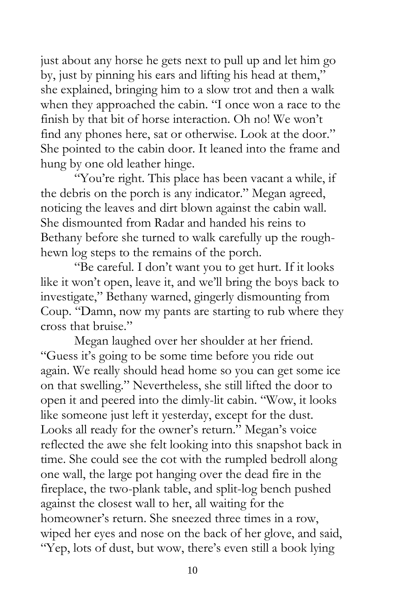just about any horse he gets next to pull up and let him go by, just by pinning his ears and lifting his head at them," she explained, bringing him to a slow trot and then a walk when they approached the cabin. "I once won a race to the finish by that bit of horse interaction. Oh no! We won't find any phones here, sat or otherwise. Look at the door." She pointed to the cabin door. It leaned into the frame and hung by one old leather hinge.

"You're right. This place has been vacant a while, if the debris on the porch is any indicator." Megan agreed, noticing the leaves and dirt blown against the cabin wall. She dismounted from Radar and handed his reins to Bethany before she turned to walk carefully up the roughhewn log steps to the remains of the porch.

"Be careful. I don't want you to get hurt. If it looks like it won't open, leave it, and we'll bring the boys back to investigate," Bethany warned, gingerly dismounting from Coup. "Damn, now my pants are starting to rub where they cross that bruise."

Megan laughed over her shoulder at her friend. "Guess it's going to be some time before you ride out again. We really should head home so you can get some ice on that swelling." Nevertheless, she still lifted the door to open it and peered into the dimly-lit cabin. "Wow, it looks like someone just left it yesterday, except for the dust. Looks all ready for the owner's return." Megan's voice reflected the awe she felt looking into this snapshot back in time. She could see the cot with the rumpled bedroll along one wall, the large pot hanging over the dead fire in the fireplace, the two-plank table, and split-log bench pushed against the closest wall to her, all waiting for the homeowner's return. She sneezed three times in a row, wiped her eyes and nose on the back of her glove, and said, "Yep, lots of dust, but wow, there's even still a book lying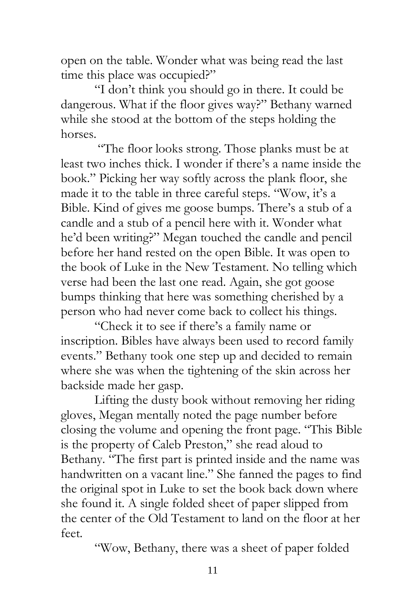open on the table. Wonder what was being read the last time this place was occupied?"

"I don't think you should go in there. It could be dangerous. What if the floor gives way?" Bethany warned while she stood at the bottom of the steps holding the horses.

"The floor looks strong. Those planks must be at least two inches thick. I wonder if there's a name inside the book." Picking her way softly across the plank floor, she made it to the table in three careful steps. "Wow, it's a Bible. Kind of gives me goose bumps. There's a stub of a candle and a stub of a pencil here with it. Wonder what he'd been writing?" Megan touched the candle and pencil before her hand rested on the open Bible. It was open to the book of Luke in the New Testament. No telling which verse had been the last one read. Again, she got goose bumps thinking that here was something cherished by a person who had never come back to collect his things.

"Check it to see if there's a family name or inscription. Bibles have always been used to record family events." Bethany took one step up and decided to remain where she was when the tightening of the skin across her backside made her gasp.

Lifting the dusty book without removing her riding gloves, Megan mentally noted the page number before closing the volume and opening the front page. "This Bible is the property of Caleb Preston," she read aloud to Bethany. "The first part is printed inside and the name was handwritten on a vacant line." She fanned the pages to find the original spot in Luke to set the book back down where she found it. A single folded sheet of paper slipped from the center of the Old Testament to land on the floor at her feet.

"Wow, Bethany, there was a sheet of paper folded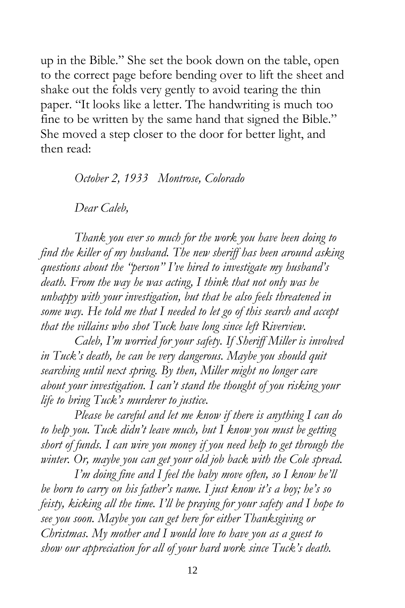up in the Bible." She set the book down on the table, open to the correct page before bending over to lift the sheet and shake out the folds very gently to avoid tearing the thin paper. "It looks like a letter. The handwriting is much too fine to be written by the same hand that signed the Bible." She moved a step closer to the door for better light, and then read:

*October 2, 1933 Montrose, Colorado*

*Dear Caleb,*

*Thank you ever so much for the work you have been doing to find the killer of my husband. The new sheriff has been around asking questions about the "person" I've hired to investigate my husband's death. From the way he was acting, I think that not only was he unhappy with your investigation, but that he also feels threatened in some way. He told me that I needed to let go of this search and accept that the villains who shot Tuck have long since left Riverview.*

*Caleb, I'm worried for your safety. If Sheriff Miller is involved in Tuck's death, he can be very dangerous. Maybe you should quit searching until next spring. By then, Miller might no longer care about your investigation. I can't stand the thought of you risking your life to bring Tuck's murderer to justice.* 

*Please be careful and let me know if there is anything I can do to help you. Tuck didn't leave much, but I know you must be getting short of funds. I can wire you money if you need help to get through the winter. Or, maybe you can get your old job back with the Cole spread.* 

*I'm doing fine and I feel the baby move often, so I know he'll be born to carry on his father's name. I just know it's a boy; he's so feisty, kicking all the time. I'll be praying for your safety and I hope to see you soon. Maybe you can get here for either Thanksgiving or Christmas. My mother and I would love to have you as a guest to show our appreciation for all of your hard work since Tuck's death.*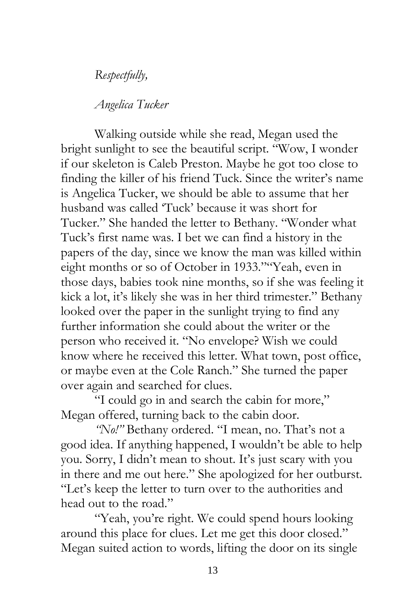*Respectfully,*

*Angelica Tucker*

Walking outside while she read, Megan used the bright sunlight to see the beautiful script. "Wow, I wonder if our skeleton is Caleb Preston. Maybe he got too close to finding the killer of his friend Tuck. Since the writer's name is Angelica Tucker, we should be able to assume that her husband was called 'Tuck' because it was short for Tucker." She handed the letter to Bethany. "Wonder what Tuck's first name was. I bet we can find a history in the papers of the day, since we know the man was killed within eight months or so of October in 1933.""Yeah, even in those days, babies took nine months, so if she was feeling it kick a lot, it's likely she was in her third trimester." Bethany looked over the paper in the sunlight trying to find any further information she could about the writer or the person who received it. "No envelope? Wish we could know where he received this letter. What town, post office, or maybe even at the Cole Ranch." She turned the paper over again and searched for clues.

"I could go in and search the cabin for more," Megan offered, turning back to the cabin door.

*"No!"* Bethany ordered. "I mean, no. That's not a good idea. If anything happened, I wouldn't be able to help you. Sorry, I didn't mean to shout. It's just scary with you in there and me out here." She apologized for her outburst. "Let's keep the letter to turn over to the authorities and head out to the road."

"Yeah, you're right. We could spend hours looking around this place for clues. Let me get this door closed." Megan suited action to words, lifting the door on its single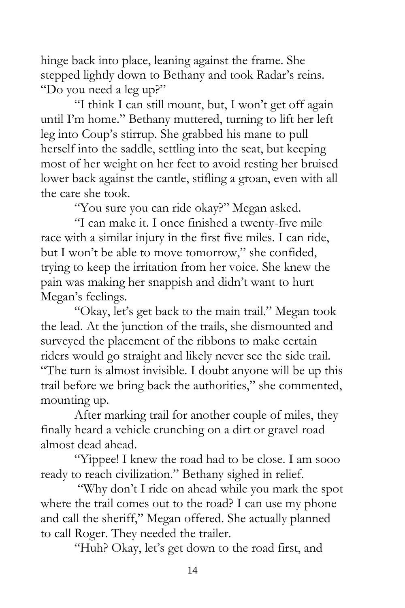hinge back into place, leaning against the frame. She stepped lightly down to Bethany and took Radar's reins. "Do you need a leg up?"

"I think I can still mount, but, I won't get off again until I'm home." Bethany muttered, turning to lift her left leg into Coup's stirrup. She grabbed his mane to pull herself into the saddle, settling into the seat, but keeping most of her weight on her feet to avoid resting her bruised lower back against the cantle, stifling a groan, even with all the care she took.

"You sure you can ride okay?" Megan asked.

"I can make it. I once finished a twenty-five mile race with a similar injury in the first five miles. I can ride, but I won't be able to move tomorrow," she confided, trying to keep the irritation from her voice. She knew the pain was making her snappish and didn't want to hurt Megan's feelings.

"Okay, let's get back to the main trail." Megan took the lead. At the junction of the trails, she dismounted and surveyed the placement of the ribbons to make certain riders would go straight and likely never see the side trail. "The turn is almost invisible. I doubt anyone will be up this trail before we bring back the authorities," she commented, mounting up.

After marking trail for another couple of miles, they finally heard a vehicle crunching on a dirt or gravel road almost dead ahead.

"Yippee! I knew the road had to be close. I am sooo ready to reach civilization." Bethany sighed in relief.

"Why don't I ride on ahead while you mark the spot where the trail comes out to the road? I can use my phone and call the sheriff," Megan offered. She actually planned to call Roger. They needed the trailer.

"Huh? Okay, let's get down to the road first, and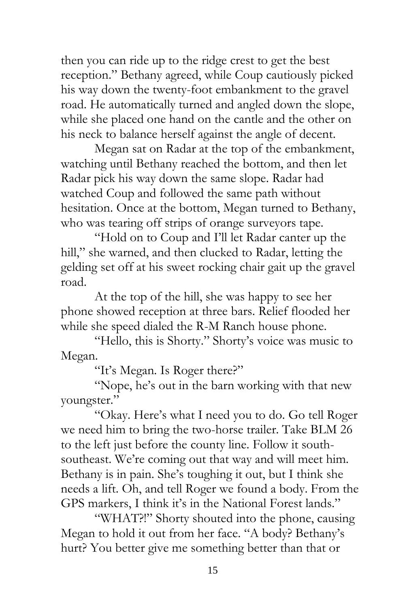then you can ride up to the ridge crest to get the best reception." Bethany agreed, while Coup cautiously picked his way down the twenty-foot embankment to the gravel road. He automatically turned and angled down the slope, while she placed one hand on the cantle and the other on his neck to balance herself against the angle of decent.

Megan sat on Radar at the top of the embankment, watching until Bethany reached the bottom, and then let Radar pick his way down the same slope. Radar had watched Coup and followed the same path without hesitation. Once at the bottom, Megan turned to Bethany, who was tearing off strips of orange surveyors tape.

"Hold on to Coup and I'll let Radar canter up the hill," she warned, and then clucked to Radar, letting the gelding set off at his sweet rocking chair gait up the gravel road.

At the top of the hill, she was happy to see her phone showed reception at three bars. Relief flooded her while she speed dialed the R-M Ranch house phone.

"Hello, this is Shorty." Shorty's voice was music to Megan.

"It's Megan. Is Roger there?"

"Nope, he's out in the barn working with that new youngster."

"Okay. Here's what I need you to do. Go tell Roger we need him to bring the two-horse trailer. Take BLM 26 to the left just before the county line. Follow it southsoutheast. We're coming out that way and will meet him. Bethany is in pain. She's toughing it out, but I think she needs a lift. Oh, and tell Roger we found a body. From the GPS markers, I think it's in the National Forest lands."

"WHAT?!" Shorty shouted into the phone, causing Megan to hold it out from her face. "A body? Bethany's hurt? You better give me something better than that or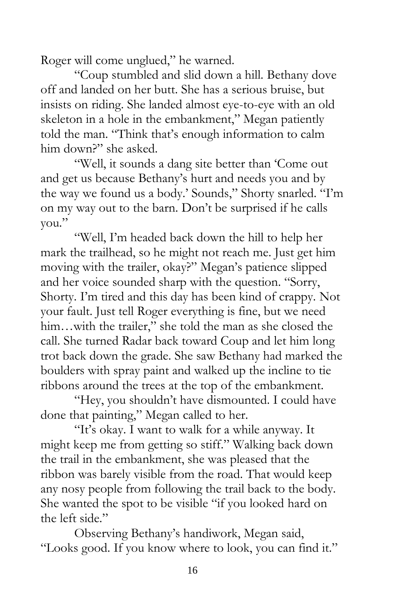Roger will come unglued," he warned.

"Coup stumbled and slid down a hill. Bethany dove off and landed on her butt. She has a serious bruise, but insists on riding. She landed almost eye-to-eye with an old skeleton in a hole in the embankment," Megan patiently told the man. "Think that's enough information to calm him down?" she asked.

"Well, it sounds a dang site better than 'Come out and get us because Bethany's hurt and needs you and by the way we found us a body.' Sounds," Shorty snarled. "I'm on my way out to the barn. Don't be surprised if he calls you."

"Well, I'm headed back down the hill to help her mark the trailhead, so he might not reach me. Just get him moving with the trailer, okay?" Megan's patience slipped and her voice sounded sharp with the question. "Sorry, Shorty. I'm tired and this day has been kind of crappy. Not your fault. Just tell Roger everything is fine, but we need him…with the trailer," she told the man as she closed the call. She turned Radar back toward Coup and let him long trot back down the grade. She saw Bethany had marked the boulders with spray paint and walked up the incline to tie ribbons around the trees at the top of the embankment.

"Hey, you shouldn't have dismounted. I could have done that painting," Megan called to her.

"It's okay. I want to walk for a while anyway. It might keep me from getting so stiff." Walking back down the trail in the embankment, she was pleased that the ribbon was barely visible from the road. That would keep any nosy people from following the trail back to the body. She wanted the spot to be visible "if you looked hard on the left side."

Observing Bethany's handiwork, Megan said, "Looks good. If you know where to look, you can find it."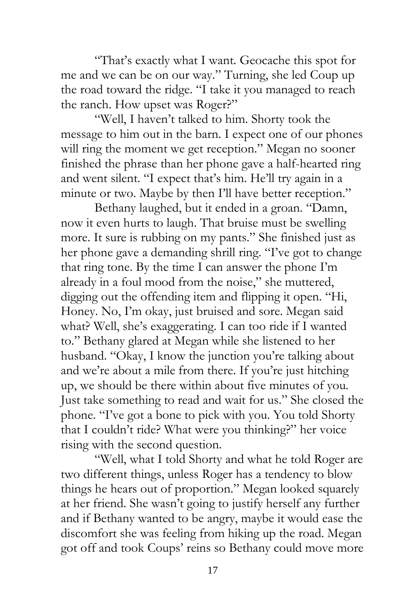"That's exactly what I want. Geocache this spot for me and we can be on our way." Turning, she led Coup up the road toward the ridge. "I take it you managed to reach the ranch. How upset was Roger?"

"Well, I haven't talked to him. Shorty took the message to him out in the barn. I expect one of our phones will ring the moment we get reception." Megan no sooner finished the phrase than her phone gave a half-hearted ring and went silent. "I expect that's him. He'll try again in a minute or two. Maybe by then I'll have better reception."

Bethany laughed, but it ended in a groan. "Damn, now it even hurts to laugh. That bruise must be swelling more. It sure is rubbing on my pants." She finished just as her phone gave a demanding shrill ring. "I've got to change that ring tone. By the time I can answer the phone I'm already in a foul mood from the noise," she muttered, digging out the offending item and flipping it open. "Hi, Honey. No, I'm okay, just bruised and sore. Megan said what? Well, she's exaggerating. I can too ride if I wanted to." Bethany glared at Megan while she listened to her husband. "Okay, I know the junction you're talking about and we're about a mile from there. If you're just hitching up, we should be there within about five minutes of you. Just take something to read and wait for us." She closed the phone. "I've got a bone to pick with you. You told Shorty that I couldn't ride? What were you thinking?" her voice rising with the second question.

"Well, what I told Shorty and what he told Roger are two different things, unless Roger has a tendency to blow things he hears out of proportion." Megan looked squarely at her friend. She wasn't going to justify herself any further and if Bethany wanted to be angry, maybe it would ease the discomfort she was feeling from hiking up the road. Megan got off and took Coups' reins so Bethany could move more